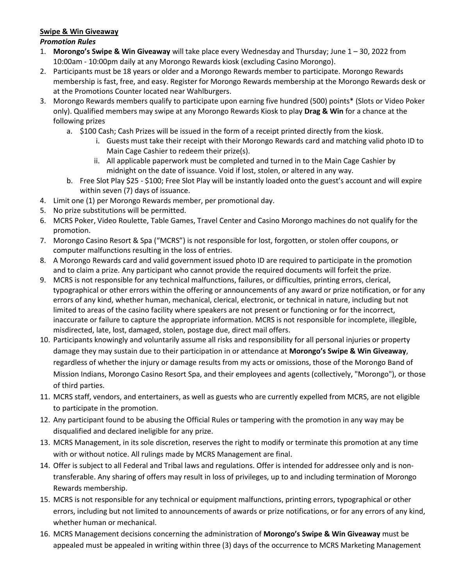## **Swipe & Win Giveaway**

## *Promotion Rules*

- 1. **Morongo's Swipe & Win Giveaway** will take place every Wednesday and Thursday; June 1 30, 2022 from 10:00am - 10:00pm daily at any Morongo Rewards kiosk (excluding Casino Morongo).
- 2. Participants must be 18 years or older and a Morongo Rewards member to participate. Morongo Rewards membership is fast, free, and easy. Register for Morongo Rewards membership at the Morongo Rewards desk or at the Promotions Counter located near Wahlburgers.
- 3. Morongo Rewards members qualify to participate upon earning five hundred (500) points\* (Slots or Video Poker only). Qualified members may swipe at any Morongo Rewards Kiosk to play **Drag & Win** for a chance at the following prizes
	- a. \$100 Cash; Cash Prizes will be issued in the form of a receipt printed directly from the kiosk.
		- i. Guests must take their receipt with their Morongo Rewards card and matching valid photo ID to Main Cage Cashier to redeem their prize(s).
		- ii. All applicable paperwork must be completed and turned in to the Main Cage Cashier by midnight on the date of issuance. Void if lost, stolen, or altered in any way.
	- b. Free Slot Play \$25 \$100; Free Slot Play will be instantly loaded onto the guest's account and will expire within seven (7) days of issuance.
- 4. Limit one (1) per Morongo Rewards member, per promotional day.
- 5. No prize substitutions will be permitted.
- 6. MCRS Poker, Video Roulette, Table Games, Travel Center and Casino Morongo machines do not qualify for the promotion.
- 7. Morongo Casino Resort & Spa ("MCRS") is not responsible for lost, forgotten, or stolen offer coupons, or computer malfunctions resulting in the loss of entries.
- 8. A Morongo Rewards card and valid government issued photo ID are required to participate in the promotion and to claim a prize. Any participant who cannot provide the required documents will forfeit the prize.
- 9. MCRS is not responsible for any technical malfunctions, failures, or difficulties, printing errors, clerical, typographical or other errors within the offering or announcements of any award or prize notification, or for any errors of any kind, whether human, mechanical, clerical, electronic, or technical in nature, including but not limited to areas of the casino facility where speakers are not present or functioning or for the incorrect, inaccurate or failure to capture the appropriate information. MCRS is not responsible for incomplete, illegible, misdirected, late, lost, damaged, stolen, postage due, direct mail offers.
- 10. Participants knowingly and voluntarily assume all risks and responsibility for all personal injuries or property damage they may sustain due to their participation in or attendance at **Morongo's Swipe & Win Giveaway**, regardless of whether the injury or damage results from my acts or omissions, those of the Morongo Band of Mission Indians, Morongo Casino Resort Spa, and their employees and agents (collectively, "Morongo"), or those of third parties.
- 11. MCRS staff, vendors, and entertainers, as well as guests who are currently expelled from MCRS, are not eligible to participate in the promotion.
- 12. Any participant found to be abusing the Official Rules or tampering with the promotion in any way may be disqualified and declared ineligible for any prize.
- 13. MCRS Management, in its sole discretion, reserves the right to modify or terminate this promotion at any time with or without notice. All rulings made by MCRS Management are final.
- 14. Offer is subject to all Federal and Tribal laws and regulations. Offer is intended for addressee only and is nontransferable. Any sharing of offers may result in loss of privileges, up to and including termination of Morongo Rewards membership.
- 15. MCRS is not responsible for any technical or equipment malfunctions, printing errors, typographical or other errors, including but not limited to announcements of awards or prize notifications, or for any errors of any kind, whether human or mechanical.
- 16. MCRS Management decisions concerning the administration of **Morongo's Swipe & Win Giveaway** must be appealed must be appealed in writing within three (3) days of the occurrence to MCRS Marketing Management